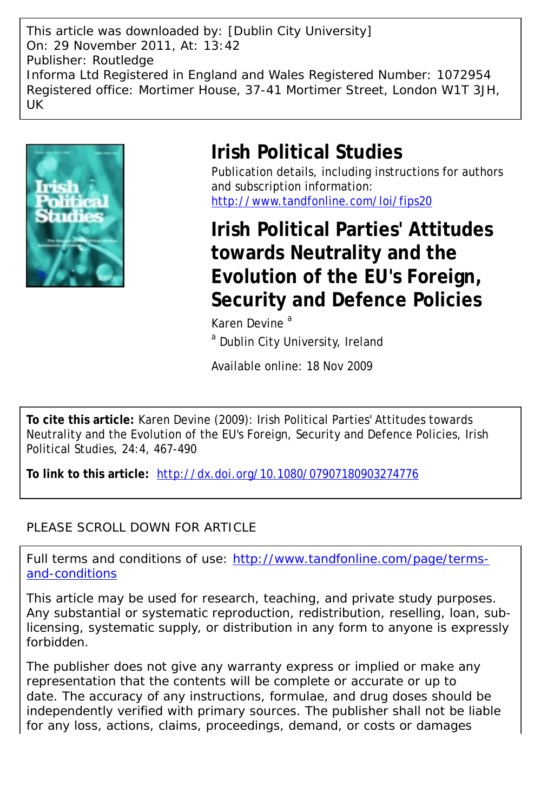This article was downloaded by: [Dublin City University] On: 29 November 2011, At: 13:42 Publisher: Routledge Informa Ltd Registered in England and Wales Registered Number: 1072954 Registered office: Mortimer House, 37-41 Mortimer Street, London W1T 3JH, UK



## **Irish Political Studies**

Publication details, including instructions for authors and subscription information: <http://www.tandfonline.com/loi/fips20>

**Irish Political Parties' Attitudes towards Neutrality and the Evolution of the EU's Foreign, Security and Defence Policies**

Karen Devine<sup>a</sup> <sup>a</sup> Dublin City University, Ireland

Available online: 18 Nov 2009

**To cite this article:** Karen Devine (2009): Irish Political Parties' Attitudes towards Neutrality and the Evolution of the EU's Foreign, Security and Defence Policies, Irish Political Studies, 24:4, 467-490

**To link to this article:** <http://dx.doi.org/10.1080/07907180903274776>

## PLEASE SCROLL DOWN FOR ARTICLE

Full terms and conditions of use: [http://www.tandfonline.com/page/terms](http://www.tandfonline.com/page/terms-and-conditions)[and-conditions](http://www.tandfonline.com/page/terms-and-conditions)

This article may be used for research, teaching, and private study purposes. Any substantial or systematic reproduction, redistribution, reselling, loan, sublicensing, systematic supply, or distribution in any form to anyone is expressly forbidden.

The publisher does not give any warranty express or implied or make any representation that the contents will be complete or accurate or up to date. The accuracy of any instructions, formulae, and drug doses should be independently verified with primary sources. The publisher shall not be liable for any loss, actions, claims, proceedings, demand, or costs or damages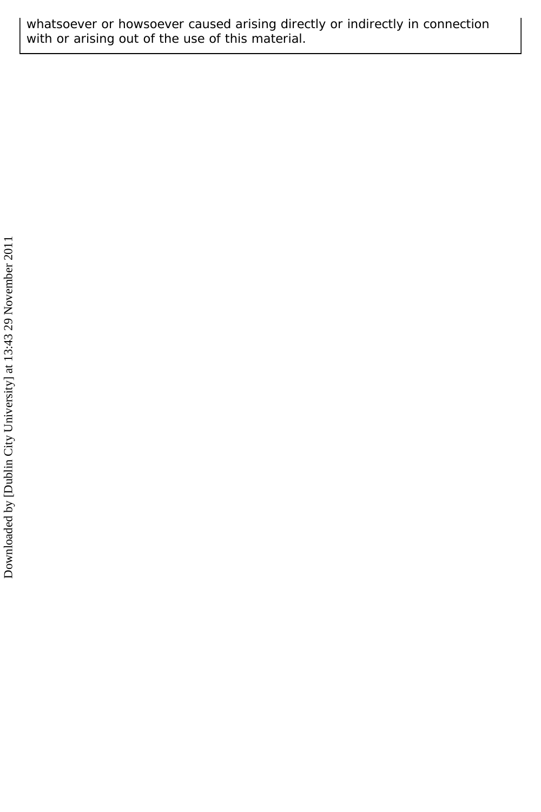whatsoever or howsoever caused arising directly or indirectly in connection with or arising out of the use of this material.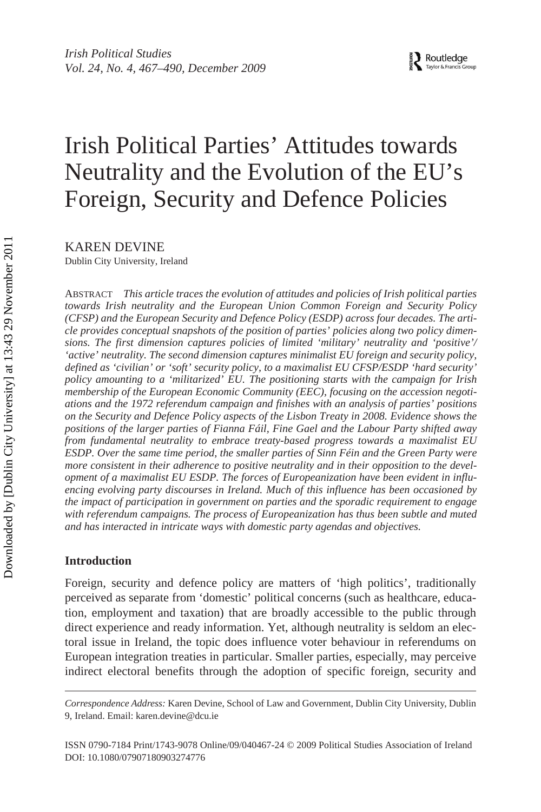# Irish Political Parties' Attitudes towards Neutrality and the Evolution of the EU's Foreign, Security and Defence Policies

KAREN DEVINE

Dublin City University, Ireland

ABSTRACT *This article traces the evolution of attitudes and policies of Irish political parties towards Irish neutrality and the European Union Common Foreign and Security Policy (CFSP) and the European Security and Defence Policy (ESDP) across four decades. The article provides conceptual snapshots of the position of parties' policies along two policy dimensions. The first dimension captures policies of limited 'military' neutrality and 'positive'/ 'active' neutrality. The second dimension captures minimalist EU foreign and security policy, defined as 'civilian' or 'soft' security policy, to a maximalist EU CFSP/ESDP 'hard security' policy amounting to a 'militarized' EU. The positioning starts with the campaign for Irish membership of the European Economic Community (EEC), focusing on the accession negotiations and the 1972 referendum campaign and finishes with an analysis of parties' positions on the Security and Defence Policy aspects of the Lisbon Treaty in 2008. Evidence shows the positions of the larger parties of Fianna Fáil, Fine Gael and the Labour Party shifted away from fundamental neutrality to embrace treaty-based progress towards a maximalist EU ESDP. Over the same time period, the smaller parties of Sinn Féin and the Green Party were more consistent in their adherence to positive neutrality and in their opposition to the development of a maximalist EU ESDP. The forces of Europeanization have been evident in influencing evolving party discourses in Ireland. Much of this influence has been occasioned by the impact of participation in government on parties and the sporadic requirement to engage with referendum campaigns. The process of Europeanization has thus been subtle and muted and has interacted in intricate ways with domestic party agendas and objectives.*

## **Introduction**

Foreign, security and defence policy are matters of 'high politics', traditionally perceived as separate from 'domestic' political concerns (such as healthcare, education, employment and taxation) that are broadly accessible to the public through direct experience and ready information. Yet, although neutrality is seldom an electoral issue in Ireland, the topic does influence voter behaviour in referendums on European integration treaties in particular. Smaller parties, especially, may perceive indirect electoral benefits through the adoption of specific foreign, security and

*Correspondence Address:* Karen Devine, School of Law and Government, Dublin City University, Dublin 9, Ireland. Email: karen.devine@dcu.ie

ISSN 0790-7184 Print/1743-9078 Online/09/040467-24 © 2009 Political Studies Association of Ireland DOI: 10.1080/07907180903274776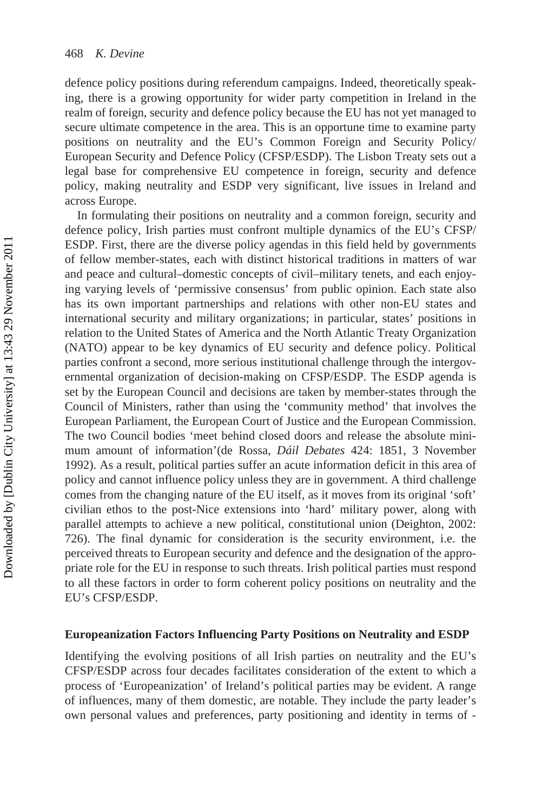defence policy positions during referendum campaigns. Indeed, theoretically speaking, there is a growing opportunity for wider party competition in Ireland in the realm of foreign, security and defence policy because the EU has not yet managed to secure ultimate competence in the area. This is an opportune time to examine party positions on neutrality and the EU's Common Foreign and Security Policy/ European Security and Defence Policy (CFSP/ESDP). The Lisbon Treaty sets out a legal base for comprehensive EU competence in foreign, security and defence policy, making neutrality and ESDP very significant, live issues in Ireland and across Europe.

In formulating their positions on neutrality and a common foreign, security and defence policy, Irish parties must confront multiple dynamics of the EU's CFSP/ ESDP. First, there are the diverse policy agendas in this field held by governments of fellow member-states, each with distinct historical traditions in matters of war and peace and cultural–domestic concepts of civil–military tenets, and each enjoying varying levels of 'permissive consensus' from public opinion. Each state also has its own important partnerships and relations with other non-EU states and international security and military organizations; in particular, states' positions in relation to the United States of America and the North Atlantic Treaty Organization (NATO) appear to be key dynamics of EU security and defence policy. Political parties confront a second, more serious institutional challenge through the intergovernmental organization of decision-making on CFSP/ESDP. The ESDP agenda is set by the European Council and decisions are taken by member-states through the Council of Ministers, rather than using the 'community method' that involves the European Parliament, the European Court of Justice and the European Commission. The two Council bodies 'meet behind closed doors and release the absolute minimum amount of information'(de Rossa, *Dáil Debates* 424: 1851, 3 November 1992). As a result, political parties suffer an acute information deficit in this area of policy and cannot influence policy unless they are in government. A third challenge comes from the changing nature of the EU itself, as it moves from its original 'soft' civilian ethos to the post-Nice extensions into 'hard' military power, along with parallel attempts to achieve a new political, constitutional union (Deighton, 2002: 726). The final dynamic for consideration is the security environment, i.e. the perceived threats to European security and defence and the designation of the appropriate role for the EU in response to such threats. Irish political parties must respond to all these factors in order to form coherent policy positions on neutrality and the EU's CFSP/ESDP.

## **Europeanization Factors Influencing Party Positions on Neutrality and ESDP**

Identifying the evolving positions of all Irish parties on neutrality and the EU's CFSP/ESDP across four decades facilitates consideration of the extent to which a process of 'Europeanization' of Ireland's political parties may be evident. A range of influences, many of them domestic, are notable. They include the party leader's own personal values and preferences, party positioning and identity in terms of -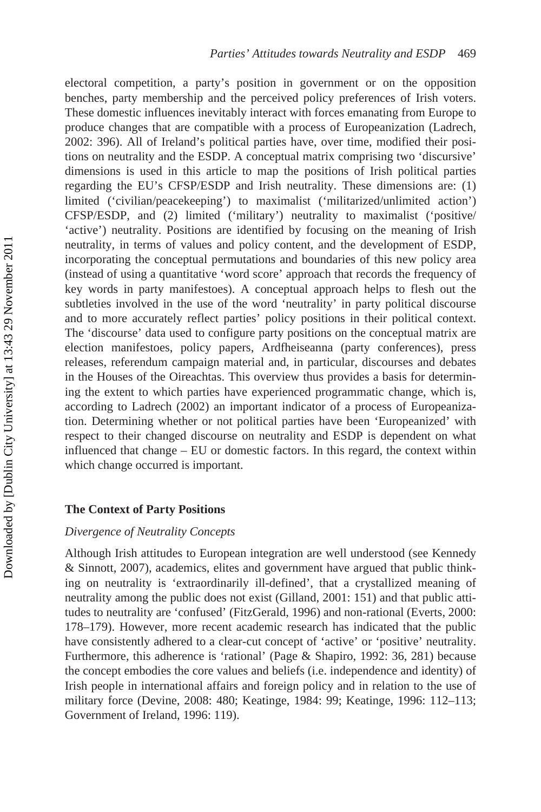electoral competition, a party's position in government or on the opposition benches, party membership and the perceived policy preferences of Irish voters. These domestic influences inevitably interact with forces emanating from Europe to produce changes that are compatible with a process of Europeanization (Ladrech, 2002: 396). All of Ireland's political parties have, over time, modified their positions on neutrality and the ESDP. A conceptual matrix comprising two 'discursive' dimensions is used in this article to map the positions of Irish political parties regarding the EU's CFSP/ESDP and Irish neutrality. These dimensions are: (1) limited ('civilian/peacekeeping') to maximalist ('militarized/unlimited action') CFSP/ESDP, and (2) limited ('military') neutrality to maximalist ('positive/ 'active') neutrality. Positions are identified by focusing on the meaning of Irish neutrality, in terms of values and policy content, and the development of ESDP, incorporating the conceptual permutations and boundaries of this new policy area (instead of using a quantitative 'word score' approach that records the frequency of key words in party manifestoes). A conceptual approach helps to flesh out the subtleties involved in the use of the word 'neutrality' in party political discourse and to more accurately reflect parties' policy positions in their political context. The 'discourse' data used to configure party positions on the conceptual matrix are election manifestoes, policy papers, Ardfheiseanna (party conferences), press releases, referendum campaign material and, in particular, discourses and debates in the Houses of the Oireachtas. This overview thus provides a basis for determining the extent to which parties have experienced programmatic change, which is, according to Ladrech (2002) an important indicator of a process of Europeanization. Determining whether or not political parties have been 'Europeanized' with respect to their changed discourse on neutrality and ESDP is dependent on what influenced that change – EU or domestic factors. In this regard, the context within which change occurred is important.

## **The Context of Party Positions**

## *Divergence of Neutrality Concepts*

Although Irish attitudes to European integration are well understood (see Kennedy & Sinnott, 2007), academics, elites and government have argued that public thinking on neutrality is 'extraordinarily ill-defined', that a crystallized meaning of neutrality among the public does not exist (Gilland, 2001: 151) and that public attitudes to neutrality are 'confused' (FitzGerald, 1996) and non-rational (Everts, 2000: 178–179). However, more recent academic research has indicated that the public have consistently adhered to a clear-cut concept of 'active' or 'positive' neutrality. Furthermore, this adherence is 'rational' (Page & Shapiro, 1992: 36, 281) because the concept embodies the core values and beliefs (i.e. independence and identity) of Irish people in international affairs and foreign policy and in relation to the use of military force (Devine, 2008: 480; Keatinge, 1984: 99; Keatinge, 1996: 112–113; Government of Ireland, 1996: 119).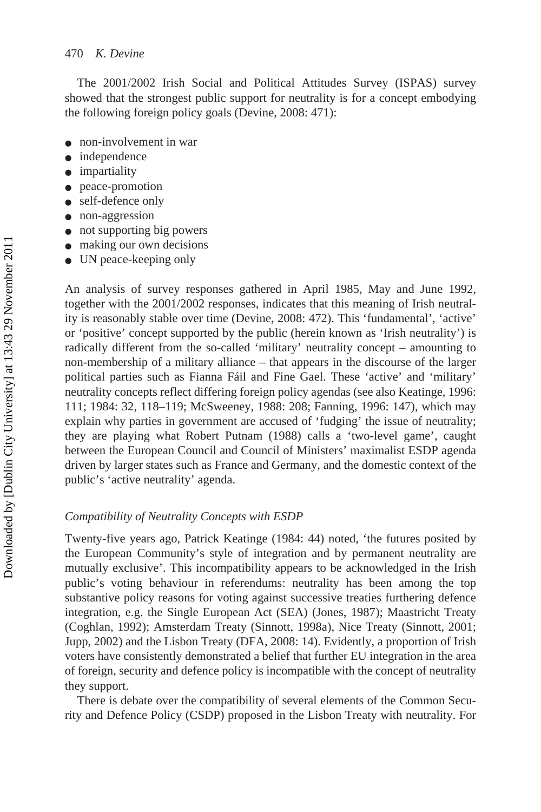The 2001/2002 Irish Social and Political Attitudes Survey (ISPAS) survey showed that the strongest public support for neutrality is for a concept embodying the following foreign policy goals (Devine, 2008: 471):

- non-involvement in war
- independence
- impartiality
- peace-promotion
- self-defence only
- non-aggression
- not supporting big powers
- making our own decisions
- UN peace-keeping only

An analysis of survey responses gathered in April 1985, May and June 1992, together with the 2001/2002 responses, indicates that this meaning of Irish neutrality is reasonably stable over time (Devine, 2008: 472). This 'fundamental', 'active' or 'positive' concept supported by the public (herein known as 'Irish neutrality') is radically different from the so-called 'military' neutrality concept – amounting to non-membership of a military alliance – that appears in the discourse of the larger political parties such as Fianna Fáil and Fine Gael. These 'active' and 'military' neutrality concepts reflect differing foreign policy agendas (see also Keatinge, 1996: 111; 1984: 32, 118–119; McSweeney, 1988: 208; Fanning, 1996: 147), which may explain why parties in government are accused of 'fudging' the issue of neutrality; they are playing what Robert Putnam (1988) calls a 'two-level game', caught between the European Council and Council of Ministers' maximalist ESDP agenda driven by larger states such as France and Germany, and the domestic context of the public's 'active neutrality' agenda.

## *Compatibility of Neutrality Concepts with ESDP*

Twenty-five years ago, Patrick Keatinge (1984: 44) noted, 'the futures posited by the European Community's style of integration and by permanent neutrality are mutually exclusive'. This incompatibility appears to be acknowledged in the Irish public's voting behaviour in referendums: neutrality has been among the top substantive policy reasons for voting against successive treaties furthering defence integration, e.g. the Single European Act (SEA) (Jones, 1987); Maastricht Treaty (Coghlan, 1992); Amsterdam Treaty (Sinnott, 1998a), Nice Treaty (Sinnott, 2001; Jupp, 2002) and the Lisbon Treaty (DFA, 2008: 14). Evidently, a proportion of Irish voters have consistently demonstrated a belief that further EU integration in the area of foreign, security and defence policy is incompatible with the concept of neutrality they support.

There is debate over the compatibility of several elements of the Common Security and Defence Policy (CSDP) proposed in the Lisbon Treaty with neutrality. For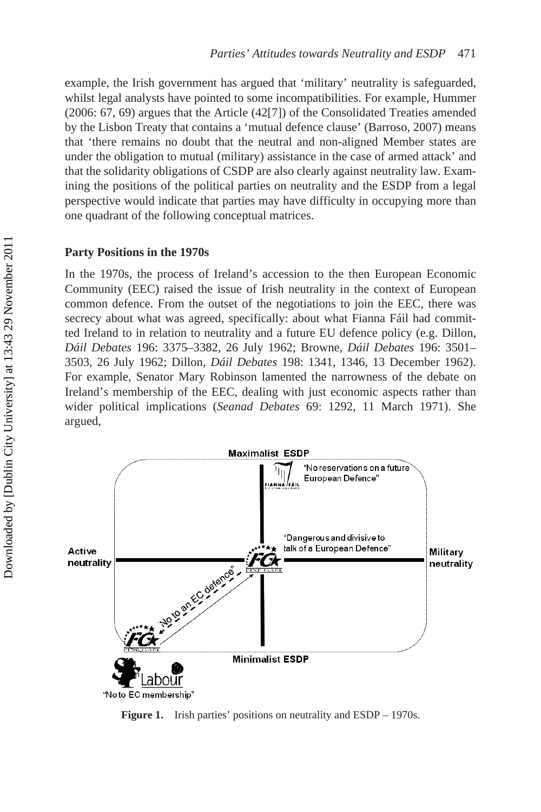example, the Irish government has argued that 'military' neutrality is safeguarded, whilst legal analysts have pointed to some incompatibilities. For example, Hummer  $(2006: 67, 69)$  argues that the Article  $(42[7])$  of the Consolidated Treaties amended by the Lisbon Treaty that contains a 'mutual defence clause' (Barroso, 2007) means that 'there remains no doubt that the neutral and non-aligned Member states are under the obligation to mutual (military) assistance in the case of armed attack' and that the solidarity obligations of CSDP are also clearly against neutrality law. Examining the positions of the political parties on neutrality and the ESDP from a legal perspective would indicate that parties may have difficulty in occupying more than one quadrant of the following conceptual matrices.

## **Party Positions in the 1970s**

In the 1970s, the process of Ireland's accession to the then European Economic Community (EEC) raised the issue of Irish neutrality in the context of European common defence. From the outset of the negotiations to join the EEC, there was secrecy about what was agreed, specifically: about what Fianna Fáil had committed Ireland to in relation to neutrality and a future EU defence policy (e.g. Dillon, *Dáil Debates* 196: 3375–3382, 26 July 1962; Browne, *Dáil Debates* 196: 3501– 3503, 26 July 1962; Dillon, *Dáil Debates* 198: 1341, 1346, 13 December 1962). For example, Senator Mary Robinson lamented the narrowness of the debate on Ireland's membership of the EEC, dealing with just economic aspects rather than wider political implications (*Seanad Debates* 69: 1292, 11 March 1971). She argued,



**Figure 1.** Irish parties' positions on neutrality and ESDP – 1970s.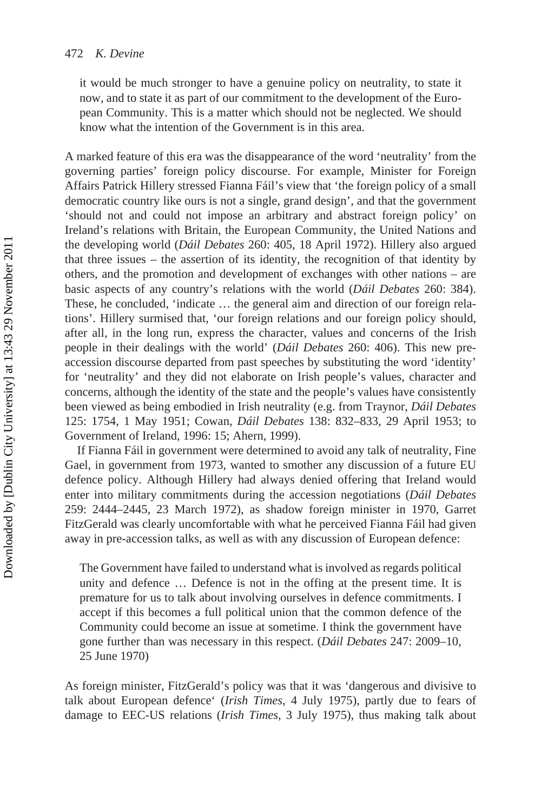it would be much stronger to have a genuine policy on neutrality, to state it now, and to state it as part of our commitment to the development of the European Community. This is a matter which should not be neglected. We should know what the intention of the Government is in this area.

A marked feature of this era was the disappearance of the word 'neutrality' from the governing parties' foreign policy discourse. For example, Minister for Foreign Affairs Patrick Hillery stressed Fianna Fáil's view that 'the foreign policy of a small democratic country like ours is not a single, grand design', and that the government 'should not and could not impose an arbitrary and abstract foreign policy' on Ireland's relations with Britain, the European Community, the United Nations and the developing world (*Dáil Debates* 260: 405, 18 April 1972). Hillery also argued that three issues – the assertion of its identity, the recognition of that identity by others, and the promotion and development of exchanges with other nations – are basic aspects of any country's relations with the world (*Dáil Debates* 260: 384). These, he concluded, 'indicate … the general aim and direction of our foreign relations'. Hillery surmised that, 'our foreign relations and our foreign policy should, after all, in the long run, express the character, values and concerns of the Irish people in their dealings with the world' (*Dáil Debates* 260: 406). This new preaccession discourse departed from past speeches by substituting the word 'identity' for 'neutrality' and they did not elaborate on Irish people's values, character and concerns, although the identity of the state and the people's values have consistently been viewed as being embodied in Irish neutrality (e.g. from Traynor, *Dáil Debates* 125: 1754, 1 May 1951; Cowan, *Dáil Debates* 138: 832–833, 29 April 1953; to Government of Ireland, 1996: 15; Ahern, 1999).

If Fianna Fáil in government were determined to avoid any talk of neutrality, Fine Gael, in government from 1973, wanted to smother any discussion of a future EU defence policy. Although Hillery had always denied offering that Ireland would enter into military commitments during the accession negotiations (*Dáil Debates* 259: 2444–2445, 23 March 1972), as shadow foreign minister in 1970, Garret FitzGerald was clearly uncomfortable with what he perceived Fianna Fáil had given away in pre-accession talks, as well as with any discussion of European defence:

The Government have failed to understand what is involved as regards political unity and defence … Defence is not in the offing at the present time. It is premature for us to talk about involving ourselves in defence commitments. I accept if this becomes a full political union that the common defence of the Community could become an issue at sometime. I think the government have gone further than was necessary in this respect. (*Dáil Debates* 247: 2009–10, 25 June 1970)

As foreign minister, FitzGerald's policy was that it was 'dangerous and divisive to talk about European defence' (*Irish Times*, 4 July 1975), partly due to fears of damage to EEC-US relations (*Irish Times*, 3 July 1975), thus making talk about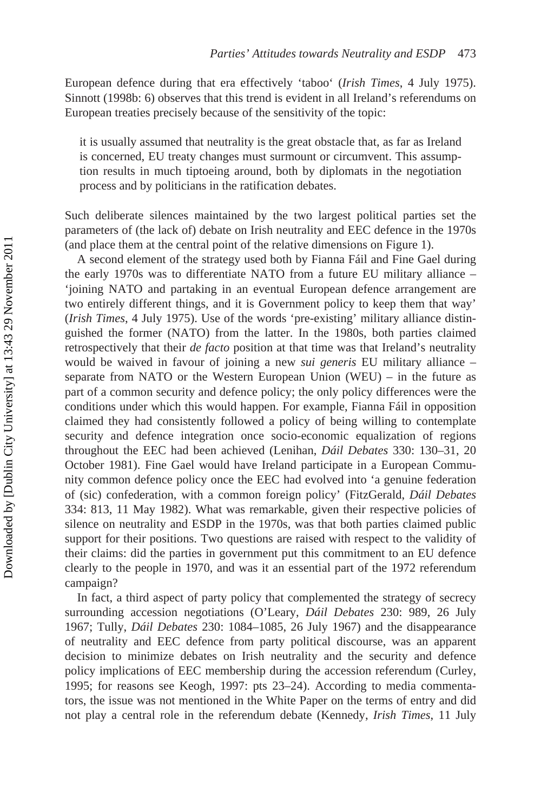European defence during that era effectively 'taboo' (*Irish Times*, 4 July 1975). Sinnott (1998b: 6) observes that this trend is evident in all Ireland's referendums on European treaties precisely because of the sensitivity of the topic:

it is usually assumed that neutrality is the great obstacle that, as far as Ireland is concerned, EU treaty changes must surmount or circumvent. This assumption results in much tiptoeing around, both by diplomats in the negotiation process and by politicians in the ratification debates.

Such deliberate silences maintained by the two largest political parties set the parameters of (the lack of) debate on Irish neutrality and EEC defence in the 1970s (and place them at the central point of the relative dimensions on Figure 1).

**Figure 1.** A second element of the strategy used both by Fianna Fáil and Fine Gael during the early 1970s was to differentiate NATO from a future EU military alliance – 'joining NATO and partaking in an eventual European defence arrangement are two entirely different things, and it is Government policy to keep them that way' (*Irish Times*, 4 July 1975). Use of the words 'pre-existing' military alliance distinguished the former (NATO) from the latter. In the 1980s, both parties claimed retrospectively that their *de facto* position at that time was that Ireland's neutrality would be waived in favour of joining a new *sui generis* EU military alliance – separate from NATO or the Western European Union (WEU) – in the future as part of a common security and defence policy; the only policy differences were the conditions under which this would happen. For example, Fianna Fáil in opposition claimed they had consistently followed a policy of being willing to contemplate security and defence integration once socio-economic equalization of regions throughout the EEC had been achieved (Lenihan, *Dáil Debates* 330: 130–31, 20 October 1981). Fine Gael would have Ireland participate in a European Community common defence policy once the EEC had evolved into 'a genuine federation of (sic) confederation, with a common foreign policy' (FitzGerald, *Dáil Debates* 334: 813, 11 May 1982). What was remarkable, given their respective policies of silence on neutrality and ESDP in the 1970s, was that both parties claimed public support for their positions. Two questions are raised with respect to the validity of their claims: did the parties in government put this commitment to an EU defence clearly to the people in 1970, and was it an essential part of the 1972 referendum campaign?

In fact, a third aspect of party policy that complemented the strategy of secrecy surrounding accession negotiations (O'Leary, *Dáil Debates* 230: 989, 26 July 1967; Tully, *Dáil Debates* 230: 1084–1085, 26 July 1967) and the disappearance of neutrality and EEC defence from party political discourse, was an apparent decision to minimize debates on Irish neutrality and the security and defence policy implications of EEC membership during the accession referendum (Curley, 1995; for reasons see Keogh, 1997: pts 23–24). According to media commentators, the issue was not mentioned in the White Paper on the terms of entry and did not play a central role in the referendum debate (Kennedy, *Irish Times*, 11 July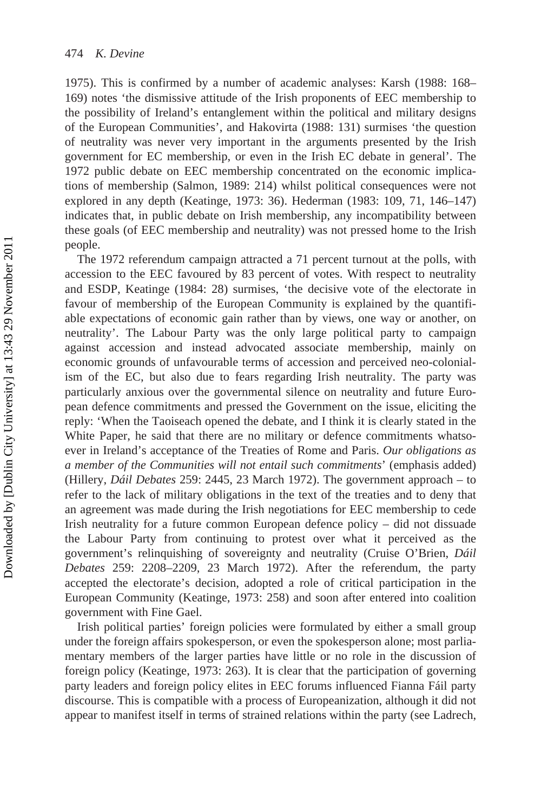1975). This is confirmed by a number of academic analyses: Karsh (1988: 168– 169) notes 'the dismissive attitude of the Irish proponents of EEC membership to the possibility of Ireland's entanglement within the political and military designs of the European Communities', and Hakovirta (1988: 131) surmises 'the question of neutrality was never very important in the arguments presented by the Irish government for EC membership, or even in the Irish EC debate in general'. The 1972 public debate on EEC membership concentrated on the economic implications of membership (Salmon, 1989: 214) whilst political consequences were not explored in any depth (Keatinge, 1973: 36). Hederman (1983: 109, 71, 146–147) indicates that, in public debate on Irish membership, any incompatibility between these goals (of EEC membership and neutrality) was not pressed home to the Irish people.

The 1972 referendum campaign attracted a 71 percent turnout at the polls, with accession to the EEC favoured by 83 percent of votes. With respect to neutrality and ESDP, Keatinge (1984: 28) surmises, 'the decisive vote of the electorate in favour of membership of the European Community is explained by the quantifiable expectations of economic gain rather than by views, one way or another, on neutrality'. The Labour Party was the only large political party to campaign against accession and instead advocated associate membership, mainly on economic grounds of unfavourable terms of accession and perceived neo-colonialism of the EC, but also due to fears regarding Irish neutrality. The party was particularly anxious over the governmental silence on neutrality and future European defence commitments and pressed the Government on the issue, eliciting the reply: 'When the Taoiseach opened the debate, and I think it is clearly stated in the White Paper, he said that there are no military or defence commitments whatsoever in Ireland's acceptance of the Treaties of Rome and Paris. *Our obligations as a member of the Communities will not entail such commitments*' (emphasis added) (Hillery, *Dáil Debates* 259: 2445, 23 March 1972). The government approach – to refer to the lack of military obligations in the text of the treaties and to deny that an agreement was made during the Irish negotiations for EEC membership to cede Irish neutrality for a future common European defence policy – did not dissuade the Labour Party from continuing to protest over what it perceived as the government's relinquishing of sovereignty and neutrality (Cruise O'Brien, *Dáil Debates* 259: 2208–2209, 23 March 1972). After the referendum, the party accepted the electorate's decision, adopted a role of critical participation in the European Community (Keatinge, 1973: 258) and soon after entered into coalition government with Fine Gael.

Irish political parties' foreign policies were formulated by either a small group under the foreign affairs spokesperson, or even the spokesperson alone; most parliamentary members of the larger parties have little or no role in the discussion of foreign policy (Keatinge, 1973: 263). It is clear that the participation of governing party leaders and foreign policy elites in EEC forums influenced Fianna Fáil party discourse. This is compatible with a process of Europeanization, although it did not appear to manifest itself in terms of strained relations within the party (see Ladrech,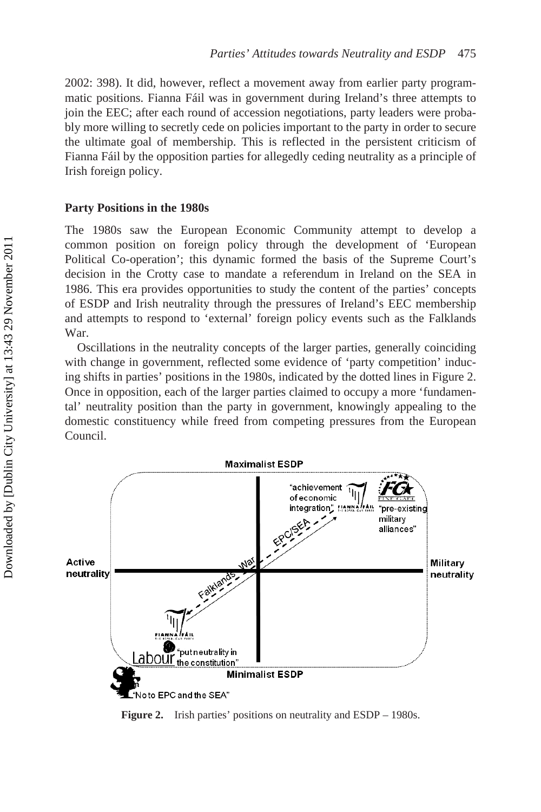2002: 398). It did, however, reflect a movement away from earlier party programmatic positions. Fianna Fáil was in government during Ireland's three attempts to join the EEC; after each round of accession negotiations, party leaders were probably more willing to secretly cede on policies important to the party in order to secure the ultimate goal of membership. This is reflected in the persistent criticism of Fianna Fáil by the opposition parties for allegedly ceding neutrality as a principle of Irish foreign policy.

## **Party Positions in the 1980s**

The 1980s saw the European Economic Community attempt to develop a common position on foreign policy through the development of 'European Political Co-operation'; this dynamic formed the basis of the Supreme Court's decision in the Crotty case to mandate a referendum in Ireland on the SEA in 1986. This era provides opportunities to study the content of the parties' concepts of ESDP and Irish neutrality through the pressures of Ireland's EEC membership and attempts to respond to 'external' foreign policy events such as the Falklands War.

Oscillations in the neutrality concepts of the larger parties, generally coinciding with change in government, reflected some evidence of 'party competition' inducing shifts in parties' positions in the 1980s, indicated by the dotted lines in Figure 2. Once in opposition, each of the larger parties claimed to occupy a more 'fundamental' neutrality position than the party in government, knowingly appealing to the domestic constituency while freed from competing pressures from the European Council.



**Figure 2.** Irish parties' positions on neutrality and ESDP – 1980s.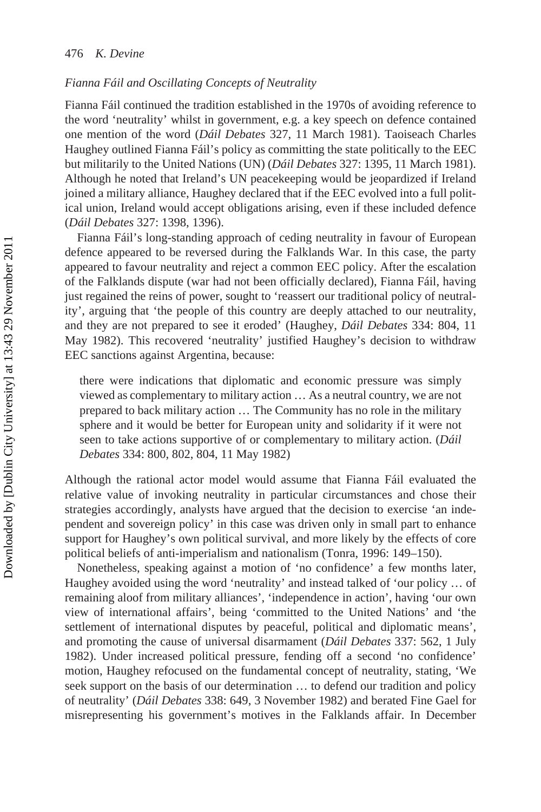## **Figure 2.** *Fianna Fáil and Oscillating Concepts of Neutrality*

Fianna Fáil continued the tradition established in the 1970s of avoiding reference to the word 'neutrality' whilst in government, e.g. a key speech on defence contained one mention of the word (*Dáil Debates* 327, 11 March 1981). Taoiseach Charles Haughey outlined Fianna Fáil's policy as committing the state politically to the EEC but militarily to the United Nations (UN) (*Dáil Debates* 327: 1395, 11 March 1981). Although he noted that Ireland's UN peacekeeping would be jeopardized if Ireland joined a military alliance, Haughey declared that if the EEC evolved into a full political union, Ireland would accept obligations arising, even if these included defence (*Dáil Debates* 327: 1398, 1396).

Fianna Fáil's long-standing approach of ceding neutrality in favour of European defence appeared to be reversed during the Falklands War. In this case, the party appeared to favour neutrality and reject a common EEC policy. After the escalation of the Falklands dispute (war had not been officially declared), Fianna Fáil, having just regained the reins of power, sought to 'reassert our traditional policy of neutrality', arguing that 'the people of this country are deeply attached to our neutrality, and they are not prepared to see it eroded' (Haughey, *Dáil Debates* 334: 804, 11 May 1982). This recovered 'neutrality' justified Haughey's decision to withdraw EEC sanctions against Argentina, because:

there were indications that diplomatic and economic pressure was simply viewed as complementary to military action … As a neutral country, we are not prepared to back military action … The Community has no role in the military sphere and it would be better for European unity and solidarity if it were not seen to take actions supportive of or complementary to military action. (*Dáil Debates* 334: 800, 802, 804, 11 May 1982)

Although the rational actor model would assume that Fianna Fáil evaluated the relative value of invoking neutrality in particular circumstances and chose their strategies accordingly, analysts have argued that the decision to exercise 'an independent and sovereign policy' in this case was driven only in small part to enhance support for Haughey's own political survival, and more likely by the effects of core political beliefs of anti-imperialism and nationalism (Tonra, 1996: 149–150).

Nonetheless, speaking against a motion of 'no confidence' a few months later, Haughey avoided using the word 'neutrality' and instead talked of 'our policy … of remaining aloof from military alliances', 'independence in action', having 'our own view of international affairs', being 'committed to the United Nations' and 'the settlement of international disputes by peaceful, political and diplomatic means', and promoting the cause of universal disarmament (*Dáil Debates* 337: 562, 1 July 1982). Under increased political pressure, fending off a second 'no confidence' motion, Haughey refocused on the fundamental concept of neutrality, stating, 'We seek support on the basis of our determination … to defend our tradition and policy of neutrality' (*Dáil Debates* 338: 649, 3 November 1982) and berated Fine Gael for misrepresenting his government's motives in the Falklands affair. In December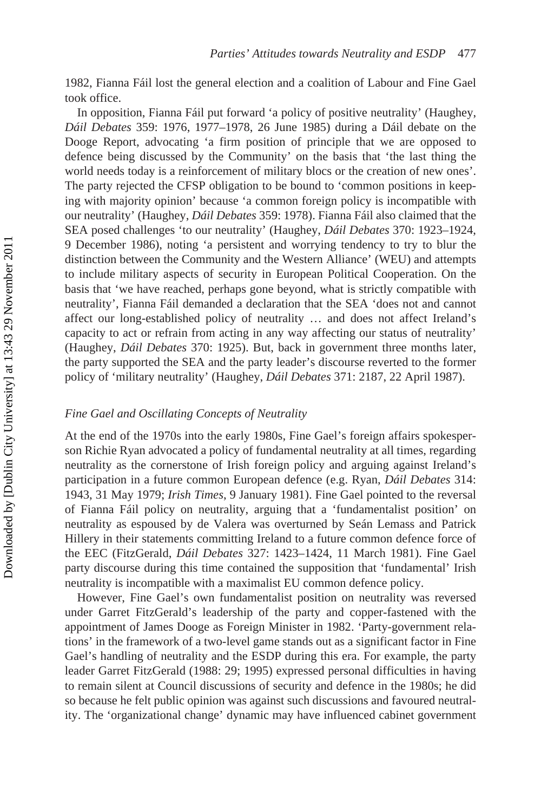1982, Fianna Fáil lost the general election and a coalition of Labour and Fine Gael took office.

In opposition, Fianna Fáil put forward 'a policy of positive neutrality' (Haughey, *Dáil Debates* 359: 1976, 1977–1978, 26 June 1985) during a Dáil debate on the Dooge Report, advocating 'a firm position of principle that we are opposed to defence being discussed by the Community' on the basis that 'the last thing the world needs today is a reinforcement of military blocs or the creation of new ones'. The party rejected the CFSP obligation to be bound to 'common positions in keeping with majority opinion' because 'a common foreign policy is incompatible with our neutrality' (Haughey, *Dáil Debates* 359: 1978). Fianna Fáil also claimed that the SEA posed challenges 'to our neutrality' (Haughey, *Dáil Debates* 370: 1923–1924, 9 December 1986), noting 'a persistent and worrying tendency to try to blur the distinction between the Community and the Western Alliance' (WEU) and attempts to include military aspects of security in European Political Cooperation. On the basis that 'we have reached, perhaps gone beyond, what is strictly compatible with neutrality', Fianna Fáil demanded a declaration that the SEA 'does not and cannot affect our long-established policy of neutrality … and does not affect Ireland's capacity to act or refrain from acting in any way affecting our status of neutrality' (Haughey, *Dáil Debates* 370: 1925). But, back in government three months later, the party supported the SEA and the party leader's discourse reverted to the former policy of 'military neutrality' (Haughey, *Dáil Debates* 371: 2187, 22 April 1987).

## *Fine Gael and Oscillating Concepts of Neutrality*

At the end of the 1970s into the early 1980s, Fine Gael's foreign affairs spokesperson Richie Ryan advocated a policy of fundamental neutrality at all times, regarding neutrality as the cornerstone of Irish foreign policy and arguing against Ireland's participation in a future common European defence (e.g. Ryan, *Dáil Debates* 314: 1943, 31 May 1979; *Irish Times*, 9 January 1981). Fine Gael pointed to the reversal of Fianna Fáil policy on neutrality, arguing that a 'fundamentalist position' on neutrality as espoused by de Valera was overturned by Seán Lemass and Patrick Hillery in their statements committing Ireland to a future common defence force of the EEC (FitzGerald, *Dáil Debates* 327: 1423–1424, 11 March 1981). Fine Gael party discourse during this time contained the supposition that 'fundamental' Irish neutrality is incompatible with a maximalist EU common defence policy.

However, Fine Gael's own fundamentalist position on neutrality was reversed under Garret FitzGerald's leadership of the party and copper-fastened with the appointment of James Dooge as Foreign Minister in 1982. 'Party-government relations' in the framework of a two-level game stands out as a significant factor in Fine Gael's handling of neutrality and the ESDP during this era. For example, the party leader Garret FitzGerald (1988: 29; 1995) expressed personal difficulties in having to remain silent at Council discussions of security and defence in the 1980s; he did so because he felt public opinion was against such discussions and favoured neutrality. The 'organizational change' dynamic may have influenced cabinet government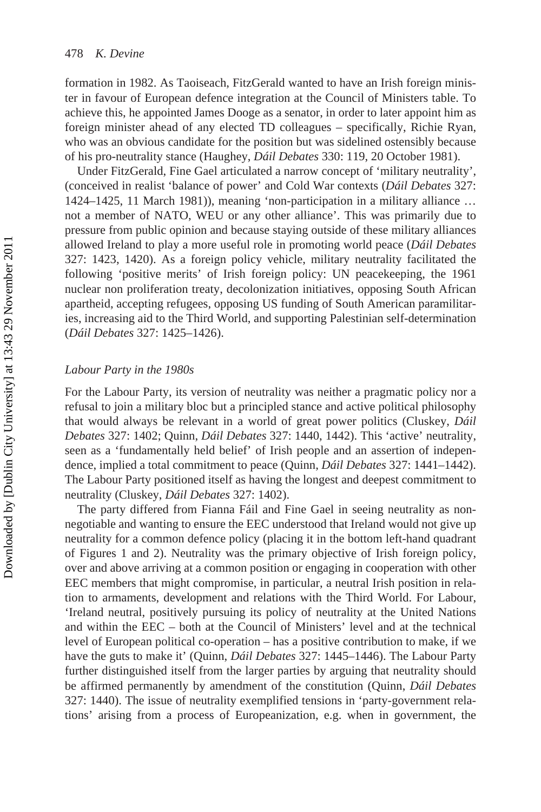formation in 1982. As Taoiseach, FitzGerald wanted to have an Irish foreign minister in favour of European defence integration at the Council of Ministers table. To achieve this, he appointed James Dooge as a senator, in order to later appoint him as foreign minister ahead of any elected TD colleagues – specifically, Richie Ryan, who was an obvious candidate for the position but was sidelined ostensibly because of his pro-neutrality stance (Haughey, *Dáil Debates* 330: 119, 20 October 1981).

Under FitzGerald, Fine Gael articulated a narrow concept of 'military neutrality', (conceived in realist 'balance of power' and Cold War contexts (*Dáil Debates* 327: 1424–1425, 11 March 1981)), meaning 'non-participation in a military alliance … not a member of NATO, WEU or any other alliance'. This was primarily due to pressure from public opinion and because staying outside of these military alliances allowed Ireland to play a more useful role in promoting world peace (*Dáil Debates* 327: 1423, 1420). As a foreign policy vehicle, military neutrality facilitated the following 'positive merits' of Irish foreign policy: UN peacekeeping, the 1961 nuclear non proliferation treaty, decolonization initiatives, opposing South African apartheid, accepting refugees, opposing US funding of South American paramilitaries, increasing aid to the Third World, and supporting Palestinian self-determination (*Dáil Debates* 327: 1425–1426).

## *Labour Party in the 1980s*

For the Labour Party, its version of neutrality was neither a pragmatic policy nor a refusal to join a military bloc but a principled stance and active political philosophy that would always be relevant in a world of great power politics (Cluskey, *Dáil Debates* 327: 1402; Quinn, *Dáil Debates* 327: 1440, 1442). This 'active' neutrality, seen as a 'fundamentally held belief' of Irish people and an assertion of independence, implied a total commitment to peace (Quinn, *Dáil Debates* 327: 1441–1442). The Labour Party positioned itself as having the longest and deepest commitment to neutrality (Cluskey, *Dáil Debates* 327: 1402).

The party differed from Fianna Fáil and Fine Gael in seeing neutrality as nonnegotiable and wanting to ensure the EEC understood that Ireland would not give up neutrality for a common defence policy (placing it in the bottom left-hand quadrant of Figures 1 and 2). Neutrality was the primary objective of Irish foreign policy, over and above arriving at a common position or engaging in cooperation with other EEC members that might compromise, in particular, a neutral Irish position in relation to armaments, development and relations with the Third World. For Labour, 'Ireland neutral, positively pursuing its policy of neutrality at the United Nations and within the EEC – both at the Council of Ministers' level and at the technical level of European political co-operation – has a positive contribution to make, if we have the guts to make it' (Quinn, *Dáil Debates* 327: 1445–1446). The Labour Party further distinguished itself from the larger parties by arguing that neutrality should be affirmed permanently by amendment of the constitution (Quinn, *Dáil Debates* 327: 1440). The issue of neutrality exemplified tensions in 'party-government relations' arising from a process of Europeanization, e.g. when in government, the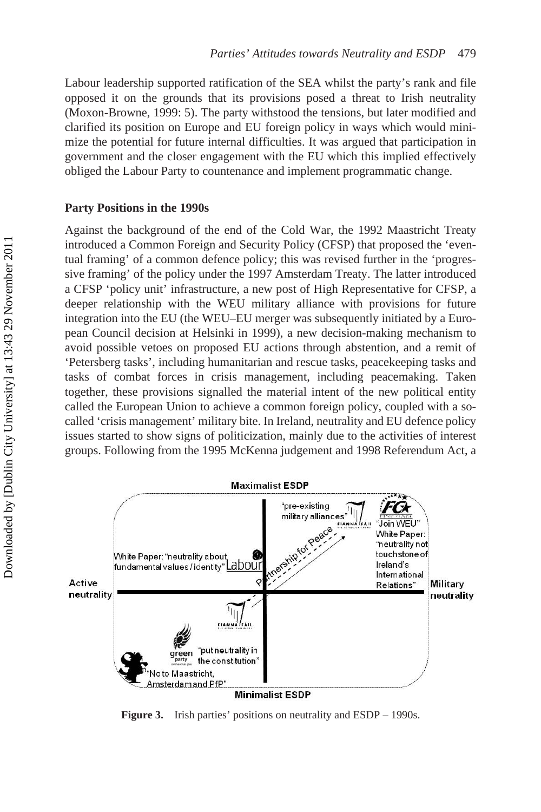Labour leadership supported ratification of the SEA whilst the party's rank and file opposed it on the grounds that its provisions posed a threat to Irish neutrality (Moxon-Browne, 1999: 5). The party withstood the tensions, but later modified and clarified its position on Europe and EU foreign policy in ways which would minimize the potential for future internal difficulties. It was argued that participation in government and the closer engagement with the EU which this implied effectively obliged the Labour Party to countenance and implement programmatic change.

## **Party Positions in the 1990s**

Against the background of the end of the Cold War, the 1992 Maastricht Treaty introduced a Common Foreign and Security Policy (CFSP) that proposed the 'eventual framing' of a common defence policy; this was revised further in the 'progressive framing' of the policy under the 1997 Amsterdam Treaty. The latter introduced a CFSP 'policy unit' infrastructure, a new post of High Representative for CFSP, a deeper relationship with the WEU military alliance with provisions for future integration into the EU (the WEU–EU merger was subsequently initiated by a European Council decision at Helsinki in 1999), a new decision-making mechanism to avoid possible vetoes on proposed EU actions through abstention, and a remit of 'Petersberg tasks', including humanitarian and rescue tasks, peacekeeping tasks and tasks of combat forces in crisis management, including peacemaking. Taken together, these provisions signalled the material intent of the new political entity called the European Union to achieve a common foreign policy, coupled with a socalled 'crisis management' military bite. In Ireland, neutrality and EU defence policy issues started to show signs of politicization, mainly due to the activities of interest groups. Following from the 1995 McKenna judgement and 1998 Referendum Act, a



**Figure 3.** Irish parties' positions on neutrality and ESDP – 1990s.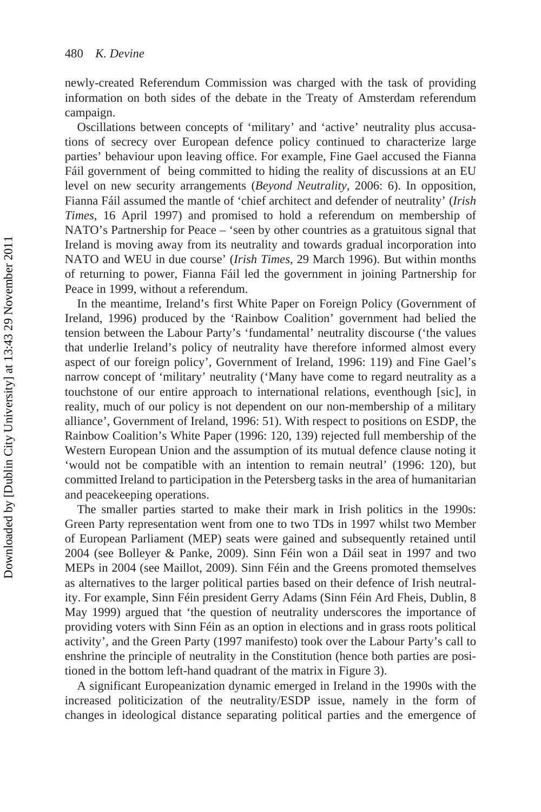newly-created Referendum Commission was charged with the task of providing information on both sides of the debate in the Treaty of Amsterdam referendum campaign.

Oscillations between concepts of 'military' and 'active' neutrality plus accusations of secrecy over European defence policy continued to characterize large parties' behaviour upon leaving office. For example, Fine Gael accused the Fianna Fáil government of being committed to hiding the reality of discussions at an EU level on new security arrangements (*Beyond Neutrality,* 2006: 6). In opposition, Fianna Fáil assumed the mantle of 'chief architect and defender of neutrality' (*Irish Times*, 16 April 1997) and promised to hold a referendum on membership of NATO's Partnership for Peace – 'seen by other countries as a gratuitous signal that Ireland is moving away from its neutrality and towards gradual incorporation into NATO and WEU in due course' (*Irish Times*, 29 March 1996). But within months of returning to power, Fianna Fáil led the government in joining Partnership for Peace in 1999, without a referendum.

In the meantime, Ireland's first White Paper on Foreign Policy (Government of Ireland, 1996) produced by the 'Rainbow Coalition' government had belied the tension between the Labour Party's 'fundamental' neutrality discourse ('the values that underlie Ireland's policy of neutrality have therefore informed almost every aspect of our foreign policy', Government of Ireland, 1996: 119) and Fine Gael's narrow concept of 'military' neutrality ('Many have come to regard neutrality as a touchstone of our entire approach to international relations, eventhough [sic], in reality, much of our policy is not dependent on our non-membership of a military alliance', Government of Ireland, 1996: 51). With respect to positions on ESDP, the Rainbow Coalition's White Paper (1996: 120, 139) rejected full membership of the Western European Union and the assumption of its mutual defence clause noting it 'would not be compatible with an intention to remain neutral' (1996: 120), but committed Ireland to participation in the Petersberg tasks in the area of humanitarian and peacekeeping operations.

The smaller parties started to make their mark in Irish politics in the 1990s: Green Party representation went from one to two TDs in 1997 whilst two Member of European Parliament (MEP) seats were gained and subsequently retained until 2004 (see Bolleyer & Panke, 2009). Sinn Féin won a Dáil seat in 1997 and two MEPs in 2004 (see Maillot, 2009). Sinn Féin and the Greens promoted themselves as alternatives to the larger political parties based on their defence of Irish neutrality. For example, Sinn Féin president Gerry Adams (Sinn Féin Ard Fheis, Dublin, 8 May 1999) argued that 'the question of neutrality underscores the importance of providing voters with Sinn Féin as an option in elections and in grass roots political activity', and the Green Party (1997 manifesto) took over the Labour Party's call to enshrine the principle of neutrality in the Constitution (hence both parties are positioned in the bottom left-hand quadrant of the matrix in Figure 3).

**Figure 3.** A significant Europeanization dynamic emerged in Ireland in the 1990s with the increased politicization of the neutrality/ESDP issue, namely in the form of changes in ideological distance separating political parties and the emergence of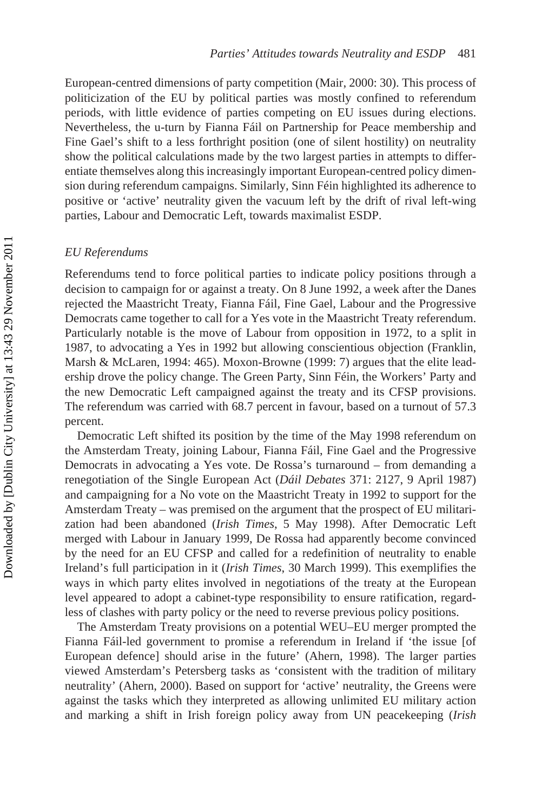European-centred dimensions of party competition (Mair, 2000: 30). This process of politicization of the EU by political parties was mostly confined to referendum periods, with little evidence of parties competing on EU issues during elections. Nevertheless, the u-turn by Fianna Fáil on Partnership for Peace membership and Fine Gael's shift to a less forthright position (one of silent hostility) on neutrality show the political calculations made by the two largest parties in attempts to differentiate themselves along this increasingly important European-centred policy dimension during referendum campaigns. Similarly, Sinn Féin highlighted its adherence to positive or 'active' neutrality given the vacuum left by the drift of rival left-wing parties, Labour and Democratic Left, towards maximalist ESDP.

### *EU Referendums*

Referendums tend to force political parties to indicate policy positions through a decision to campaign for or against a treaty. On 8 June 1992, a week after the Danes rejected the Maastricht Treaty, Fianna Fáil, Fine Gael, Labour and the Progressive Democrats came together to call for a Yes vote in the Maastricht Treaty referendum. Particularly notable is the move of Labour from opposition in 1972, to a split in 1987, to advocating a Yes in 1992 but allowing conscientious objection (Franklin, Marsh & McLaren, 1994: 465). Moxon-Browne (1999: 7) argues that the elite leadership drove the policy change. The Green Party, Sinn Féin, the Workers' Party and the new Democratic Left campaigned against the treaty and its CFSP provisions. The referendum was carried with 68.7 percent in favour, based on a turnout of 57.3 percent.

Democratic Left shifted its position by the time of the May 1998 referendum on the Amsterdam Treaty, joining Labour, Fianna Fáil, Fine Gael and the Progressive Democrats in advocating a Yes vote. De Rossa's turnaround – from demanding a renegotiation of the Single European Act (*Dáil Debates* 371: 2127, 9 April 1987) and campaigning for a No vote on the Maastricht Treaty in 1992 to support for the Amsterdam Treaty – was premised on the argument that the prospect of EU militarization had been abandoned (*Irish Times*, 5 May 1998). After Democratic Left merged with Labour in January 1999, De Rossa had apparently become convinced by the need for an EU CFSP and called for a redefinition of neutrality to enable Ireland's full participation in it (*Irish Times*, 30 March 1999). This exemplifies the ways in which party elites involved in negotiations of the treaty at the European level appeared to adopt a cabinet-type responsibility to ensure ratification, regardless of clashes with party policy or the need to reverse previous policy positions.

The Amsterdam Treaty provisions on a potential WEU–EU merger prompted the Fianna Fáil-led government to promise a referendum in Ireland if 'the issue [of European defence] should arise in the future' (Ahern, 1998). The larger parties viewed Amsterdam's Petersberg tasks as 'consistent with the tradition of military neutrality' (Ahern, 2000). Based on support for 'active' neutrality, the Greens were against the tasks which they interpreted as allowing unlimited EU military action and marking a shift in Irish foreign policy away from UN peacekeeping (*Irish*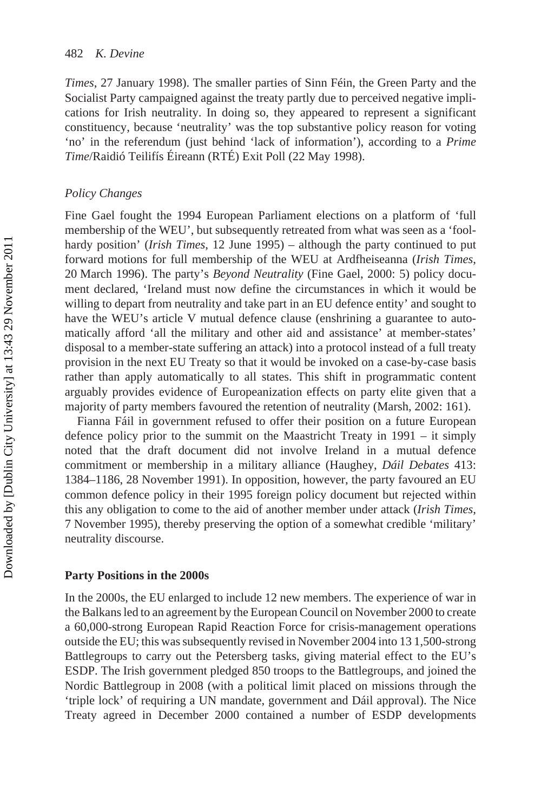*Times*, 27 January 1998). The smaller parties of Sinn Féin, the Green Party and the Socialist Party campaigned against the treaty partly due to perceived negative implications for Irish neutrality. In doing so, they appeared to represent a significant constituency, because 'neutrality' was the top substantive policy reason for voting 'no' in the referendum (just behind 'lack of information'), according to a *Prime Time*/Raidió Teilifís Éireann (RTÉ) Exit Poll (22 May 1998).

#### *Policy Changes*

Fine Gael fought the 1994 European Parliament elections on a platform of 'full membership of the WEU', but subsequently retreated from what was seen as a 'foolhardy position' (*Irish Times*, 12 June 1995) – although the party continued to put forward motions for full membership of the WEU at Ardfheiseanna (*Irish Times*, 20 March 1996). The party's *Beyond Neutrality* (Fine Gael, 2000: 5) policy document declared, 'Ireland must now define the circumstances in which it would be willing to depart from neutrality and take part in an EU defence entity' and sought to have the WEU's article V mutual defence clause (enshrining a guarantee to automatically afford 'all the military and other aid and assistance' at member-states' disposal to a member-state suffering an attack) into a protocol instead of a full treaty provision in the next EU Treaty so that it would be invoked on a case-by-case basis rather than apply automatically to all states. This shift in programmatic content arguably provides evidence of Europeanization effects on party elite given that a majority of party members favoured the retention of neutrality (Marsh, 2002: 161).

Fianna Fáil in government refused to offer their position on a future European defence policy prior to the summit on the Maastricht Treaty in 1991 – it simply noted that the draft document did not involve Ireland in a mutual defence commitment or membership in a military alliance (Haughey, *Dáil Debates* 413: 1384–1186, 28 November 1991). In opposition, however, the party favoured an EU common defence policy in their 1995 foreign policy document but rejected within this any obligation to come to the aid of another member under attack (*Irish Times*, 7 November 1995), thereby preserving the option of a somewhat credible 'military' neutrality discourse.

#### **Party Positions in the 2000s**

In the 2000s, the EU enlarged to include 12 new members. The experience of war in the Balkans led to an agreement by the European Council on November 2000 to create a 60,000-strong European Rapid Reaction Force for crisis-management operations outside the EU; this was subsequently revised in November 2004 into 13 1,500-strong Battlegroups to carry out the Petersberg tasks, giving material effect to the EU's ESDP. The Irish government pledged 850 troops to the Battlegroups, and joined the Nordic Battlegroup in 2008 (with a political limit placed on missions through the 'triple lock' of requiring a UN mandate, government and Dáil approval). The Nice Treaty agreed in December 2000 contained a number of ESDP developments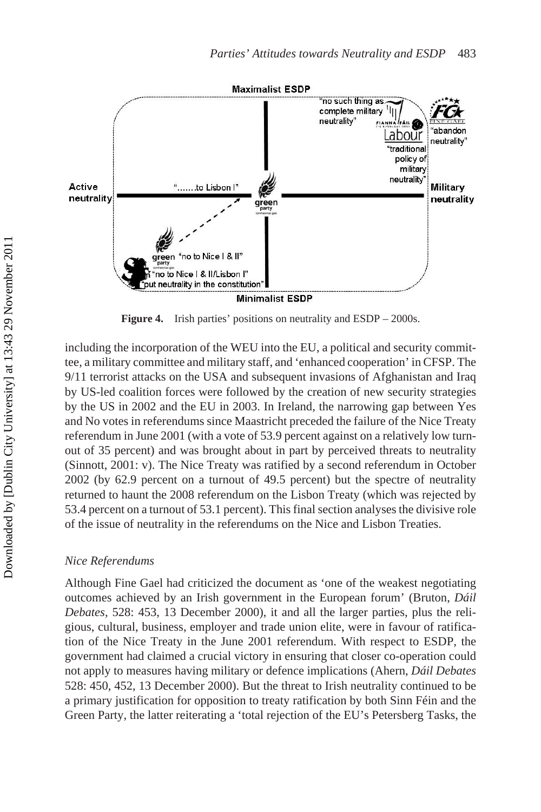

**Figure 4.** Irish parties' positions on neutrality and ESDP – 2000s.

including the incorporation of the WEU into the EU, a political and security committee, a military committee and military staff, and 'enhanced cooperation' in CFSP. The 9/11 terrorist attacks on the USA and subsequent invasions of Afghanistan and Iraq by US-led coalition forces were followed by the creation of new security strategies by the US in 2002 and the EU in 2003. In Ireland, the narrowing gap between Yes and No votes in referendums since Maastricht preceded the failure of the Nice Treaty referendum in June 2001 (with a vote of 53.9 percent against on a relatively low turnout of 35 percent) and was brought about in part by perceived threats to neutrality (Sinnott, 2001: v). The Nice Treaty was ratified by a second referendum in October 2002 (by 62.9 percent on a turnout of 49.5 percent) but the spectre of neutrality returned to haunt the 2008 referendum on the Lisbon Treaty (which was rejected by 53.4 percent on a turnout of 53.1 percent). This final section analyses the divisive role of the issue of neutrality in the referendums on the Nice and Lisbon Treaties.

## *Nice Referendums*

Although Fine Gael had criticized the document as 'one of the weakest negotiating outcomes achieved by an Irish government in the European forum' (Bruton, *Dáil Debates*, 528: 453, 13 December 2000), it and all the larger parties, plus the religious, cultural, business, employer and trade union elite, were in favour of ratification of the Nice Treaty in the June 2001 referendum. With respect to ESDP, the government had claimed a crucial victory in ensuring that closer co-operation could not apply to measures having military or defence implications (Ahern, *Dáil Debates* 528: 450, 452, 13 December 2000). But the threat to Irish neutrality continued to be a primary justification for opposition to treaty ratification by both Sinn Féin and the Green Party, the latter reiterating a 'total rejection of the EU's Petersberg Tasks, the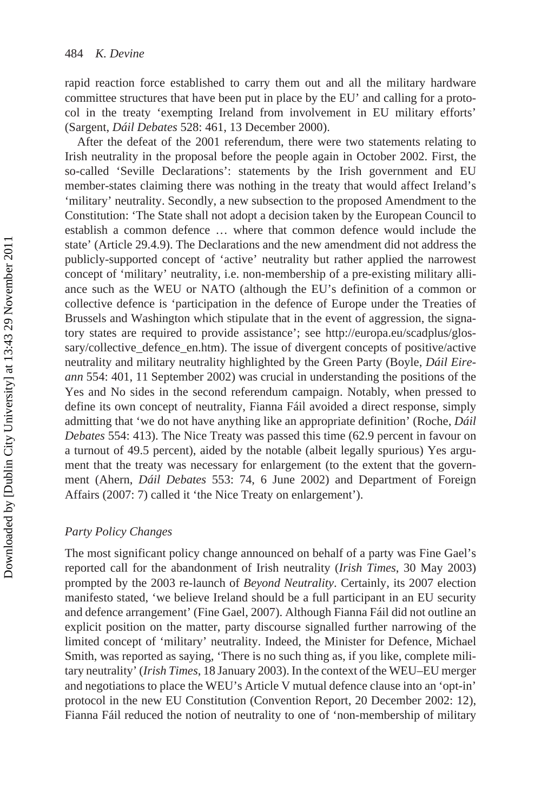rapid reaction force established to carry them out and all the military hardware committee structures that have been put in place by the EU' and calling for a protocol in the treaty 'exempting Ireland from involvement in EU military efforts' (Sargent, *Dáil Debates* 528: 461, 13 December 2000).

After the defeat of the 2001 referendum, there were two statements relating to Irish neutrality in the proposal before the people again in October 2002. First, the so-called 'Seville Declarations': statements by the Irish government and EU member-states claiming there was nothing in the treaty that would affect Ireland's 'military' neutrality. Secondly, a new subsection to the proposed Amendment to the Constitution: 'The State shall not adopt a decision taken by the European Council to establish a common defence … where that common defence would include the state' (Article 29.4.9). The Declarations and the new amendment did not address the publicly-supported concept of 'active' neutrality but rather applied the narrowest concept of 'military' neutrality, i.e. non-membership of a pre-existing military alliance such as the WEU or NATO (although the EU's definition of a common or collective defence is 'participation in the defence of Europe under the Treaties of Brussels and Washington which stipulate that in the event of aggression, the signatory states are required to provide assistance'; see http://europa.eu/scadplus/glossary/collective\_defence\_en.htm). The issue of divergent concepts of positive/active neutrality and military neutrality highlighted by the Green Party (Boyle, *Dáil Eireann* 554: 401, 11 September 2002) was crucial in understanding the positions of the Yes and No sides in the second referendum campaign. Notably, when pressed to define its own concept of neutrality, Fianna Fáil avoided a direct response, simply admitting that 'we do not have anything like an appropriate definition' (Roche, *Dáil Debates* 554: 413). The Nice Treaty was passed this time (62.9 percent in favour on a turnout of 49.5 percent), aided by the notable (albeit legally spurious) Yes argument that the treaty was necessary for enlargement (to the extent that the government (Ahern, *Dáil Debates* 553: 74, 6 June 2002) and Department of Foreign Affairs (2007: 7) called it 'the Nice Treaty on enlargement').

## *Party Policy Changes*

The most significant policy change announced on behalf of a party was Fine Gael's reported call for the abandonment of Irish neutrality (*Irish Times*, 30 May 2003) prompted by the 2003 re-launch of *Beyond Neutrality*. Certainly, its 2007 election manifesto stated, 'we believe Ireland should be a full participant in an EU security and defence arrangement' (Fine Gael, 2007). Although Fianna Fáil did not outline an explicit position on the matter, party discourse signalled further narrowing of the limited concept of 'military' neutrality. Indeed, the Minister for Defence, Michael Smith, was reported as saying, 'There is no such thing as, if you like, complete military neutrality' (*Irish Times*, 18 January 2003). In the context of the WEU–EU merger and negotiations to place the WEU's Article V mutual defence clause into an 'opt-in' protocol in the new EU Constitution (Convention Report, 20 December 2002: 12), Fianna Fáil reduced the notion of neutrality to one of 'non-membership of military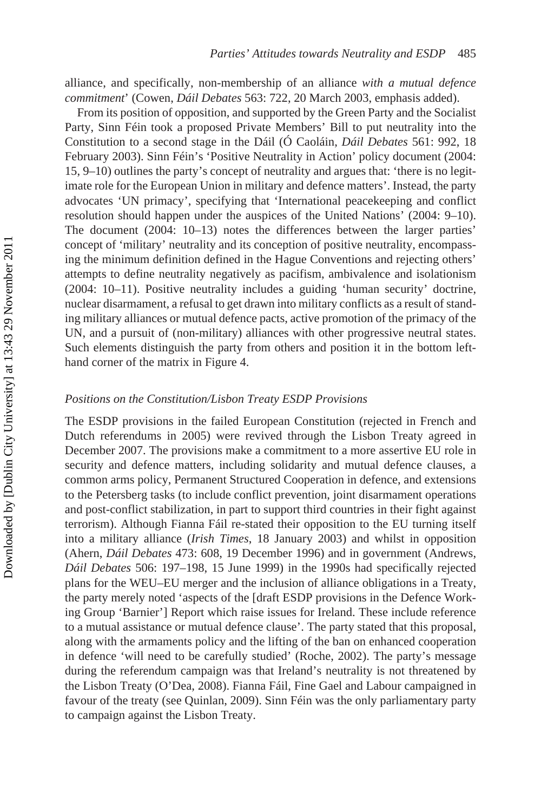alliance, and specifically, non-membership of an alliance *with a mutual defence commitment*' (Cowen, *Dáil Debates* 563: 722, 20 March 2003, emphasis added).

From its position of opposition, and supported by the Green Party and the Socialist Party, Sinn Féin took a proposed Private Members' Bill to put neutrality into the Constitution to a second stage in the Dáil (Ó Caoláin, *Dáil Debates* 561: 992, 18 February 2003). Sinn Féin's 'Positive Neutrality in Action' policy document (2004: 15, 9–10) outlines the party's concept of neutrality and argues that: 'there is no legitimate role for the European Union in military and defence matters'. Instead, the party advocates 'UN primacy', specifying that 'International peacekeeping and conflict resolution should happen under the auspices of the United Nations' (2004: 9–10). The document (2004: 10–13) notes the differences between the larger parties' concept of 'military' neutrality and its conception of positive neutrality, encompassing the minimum definition defined in the Hague Conventions and rejecting others' attempts to define neutrality negatively as pacifism, ambivalence and isolationism (2004: 10–11). Positive neutrality includes a guiding 'human security' doctrine, nuclear disarmament, a refusal to get drawn into military conflicts as a result of standing military alliances or mutual defence pacts, active promotion of the primacy of the UN, and a pursuit of (non-military) alliances with other progressive neutral states. Such elements distinguish the party from others and position it in the bottom lefthand corner of the matrix in Figure 4.

## *Positions on the Constitution/Lisbon Treaty ESDP Provisions*

The ESDP provisions in the failed European Constitution (rejected in French and Dutch referendums in 2005) were revived through the Lisbon Treaty agreed in December 2007. The provisions make a commitment to a more assertive EU role in security and defence matters, including solidarity and mutual defence clauses, a common arms policy, Permanent Structured Cooperation in defence, and extensions to the Petersberg tasks (to include conflict prevention, joint disarmament operations and post-conflict stabilization, in part to support third countries in their fight against terrorism). Although Fianna Fáil re-stated their opposition to the EU turning itself into a military alliance (*Irish Times*, 18 January 2003) and whilst in opposition (Ahern, *Dáil Debates* 473: 608, 19 December 1996) and in government (Andrews, *Dáil Debates* 506: 197–198, 15 June 1999) in the 1990s had specifically rejected plans for the WEU–EU merger and the inclusion of alliance obligations in a Treaty, the party merely noted 'aspects of the [draft ESDP provisions in the Defence Working Group 'Barnier'] Report which raise issues for Ireland. These include reference to a mutual assistance or mutual defence clause'. The party stated that this proposal, along with the armaments policy and the lifting of the ban on enhanced cooperation in defence 'will need to be carefully studied' (Roche, 2002). The party's message during the referendum campaign was that Ireland's neutrality is not threatened by the Lisbon Treaty (O'Dea, 2008). Fianna Fáil, Fine Gael and Labour campaigned in favour of the treaty (see Quinlan, 2009). Sinn Féin was the only parliamentary party to campaign against the Lisbon Treaty.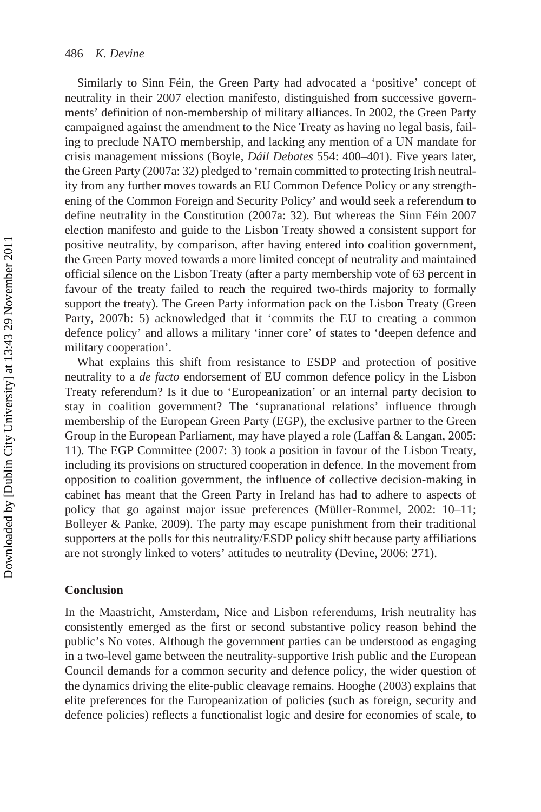Similarly to Sinn Féin, the Green Party had advocated a 'positive' concept of neutrality in their 2007 election manifesto, distinguished from successive governments' definition of non-membership of military alliances. In 2002, the Green Party campaigned against the amendment to the Nice Treaty as having no legal basis, failing to preclude NATO membership, and lacking any mention of a UN mandate for crisis management missions (Boyle, *Dáil Debates* 554: 400–401). Five years later, the Green Party (2007a: 32) pledged to 'remain committed to protecting Irish neutrality from any further moves towards an EU Common Defence Policy or any strengthening of the Common Foreign and Security Policy' and would seek a referendum to define neutrality in the Constitution (2007a: 32). But whereas the Sinn Féin 2007 election manifesto and guide to the Lisbon Treaty showed a consistent support for positive neutrality, by comparison, after having entered into coalition government, the Green Party moved towards a more limited concept of neutrality and maintained official silence on the Lisbon Treaty (after a party membership vote of 63 percent in favour of the treaty failed to reach the required two-thirds majority to formally support the treaty). The Green Party information pack on the Lisbon Treaty (Green Party, 2007b: 5) acknowledged that it 'commits the EU to creating a common defence policy' and allows a military 'inner core' of states to 'deepen defence and military cooperation'.

What explains this shift from resistance to ESDP and protection of positive neutrality to a *de facto* endorsement of EU common defence policy in the Lisbon Treaty referendum? Is it due to 'Europeanization' or an internal party decision to stay in coalition government? The 'supranational relations' influence through membership of the European Green Party (EGP), the exclusive partner to the Green Group in the European Parliament, may have played a role (Laffan & Langan, 2005: 11). The EGP Committee (2007: 3) took a position in favour of the Lisbon Treaty, including its provisions on structured cooperation in defence. In the movement from opposition to coalition government, the influence of collective decision-making in cabinet has meant that the Green Party in Ireland has had to adhere to aspects of policy that go against major issue preferences (Müller-Rommel, 2002: 10–11; Bolleyer & Panke, 2009). The party may escape punishment from their traditional supporters at the polls for this neutrality/ESDP policy shift because party affiliations are not strongly linked to voters' attitudes to neutrality (Devine, 2006: 271).

## **Conclusion**

In the Maastricht, Amsterdam, Nice and Lisbon referendums, Irish neutrality has consistently emerged as the first or second substantive policy reason behind the public's No votes. Although the government parties can be understood as engaging in a two-level game between the neutrality-supportive Irish public and the European Council demands for a common security and defence policy, the wider question of the dynamics driving the elite-public cleavage remains. Hooghe (2003) explains that elite preferences for the Europeanization of policies (such as foreign, security and defence policies) reflects a functionalist logic and desire for economies of scale, to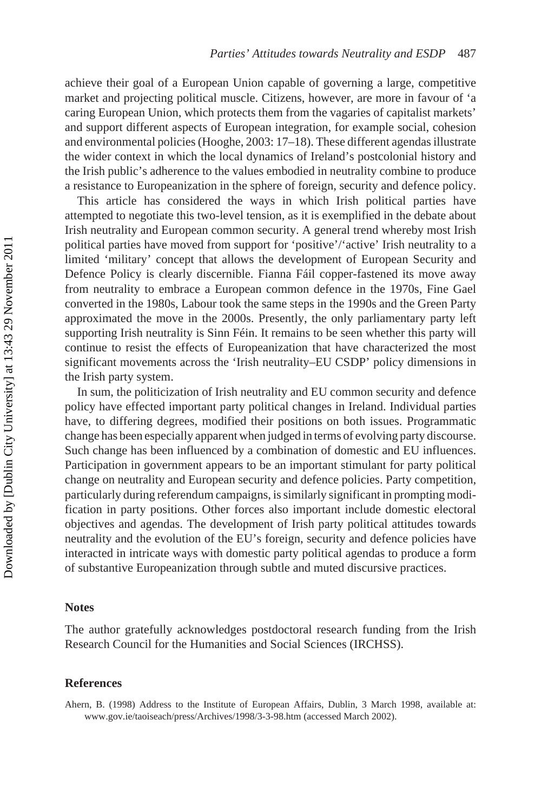achieve their goal of a European Union capable of governing a large, competitive market and projecting political muscle. Citizens, however, are more in favour of 'a caring European Union, which protects them from the vagaries of capitalist markets' and support different aspects of European integration, for example social, cohesion and environmental policies (Hooghe, 2003: 17–18). These different agendas illustrate the wider context in which the local dynamics of Ireland's postcolonial history and the Irish public's adherence to the values embodied in neutrality combine to produce a resistance to Europeanization in the sphere of foreign, security and defence policy.

This article has considered the ways in which Irish political parties have attempted to negotiate this two-level tension, as it is exemplified in the debate about Irish neutrality and European common security. A general trend whereby most Irish political parties have moved from support for 'positive'/'active' Irish neutrality to a limited 'military' concept that allows the development of European Security and Defence Policy is clearly discernible. Fianna Fáil copper-fastened its move away from neutrality to embrace a European common defence in the 1970s, Fine Gael converted in the 1980s, Labour took the same steps in the 1990s and the Green Party approximated the move in the 2000s. Presently, the only parliamentary party left supporting Irish neutrality is Sinn Féin. It remains to be seen whether this party will continue to resist the effects of Europeanization that have characterized the most significant movements across the 'Irish neutrality–EU CSDP' policy dimensions in the Irish party system.

In sum, the politicization of Irish neutrality and EU common security and defence policy have effected important party political changes in Ireland. Individual parties have, to differing degrees, modified their positions on both issues. Programmatic change has been especially apparent when judged in terms of evolving party discourse. Such change has been influenced by a combination of domestic and EU influences. Participation in government appears to be an important stimulant for party political change on neutrality and European security and defence policies. Party competition, particularly during referendum campaigns, is similarly significant in prompting modification in party positions. Other forces also important include domestic electoral objectives and agendas. The development of Irish party political attitudes towards neutrality and the evolution of the EU's foreign, security and defence policies have interacted in intricate ways with domestic party political agendas to produce a form of substantive Europeanization through subtle and muted discursive practices.

#### **Notes**

The author gratefully acknowledges postdoctoral research funding from the Irish Research Council for the Humanities and Social Sciences (IRCHSS).

## **References**

Ahern, B. (1998) Address to the Institute of European Affairs, Dublin, 3 March 1998, available at: www.gov.ie/taoiseach/press/Archives/1998/3-3-98.htm (accessed March 2002).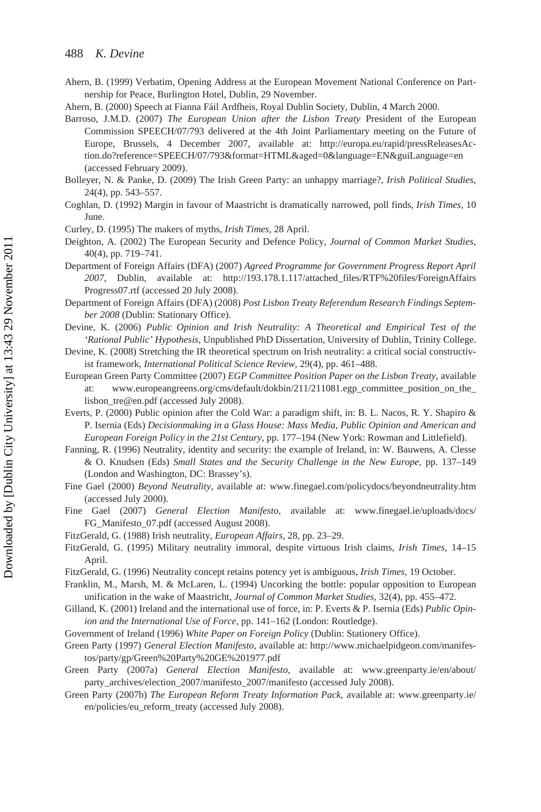- Ahern, B. (1999) Verbatim, Opening Address at the European Movement National Conference on Partnership for Peace, Burlington Hotel, Dublin, 29 November.
- Ahern, B. (2000) Speech at Fianna Fáil Ardfheis, Royal Dublin Society, Dublin, 4 March 2000.
- Barroso, J.M.D. (2007) *The European Union after the Lisbon Treaty* President of the European Commission SPEECH/07/793 delivered at the 4th Joint Parliamentary meeting on the Future of Europe, Brussels, 4 December 2007, available at: http://europa.eu/rapid/pressReleasesAction.do?reference=SPEECH/07/793&format=HTML&aged=0&language=EN&guiLanguage=en (accessed February 2009).
- Bolleyer, N. & Panke, D. (2009) The Irish Green Party: an unhappy marriage?, *Irish Political Studies,* 24(4), pp. 543–557.
- Coghlan, D. (1992) Margin in favour of Maastricht is dramatically narrowed, poll finds, *Irish Times,* 10 June.
- Curley, D. (1995) The makers of myths, *Irish Times,* 28 April.
- Deighton, A. (2002) The European Security and Defence Policy, *Journal of Common Market Studies,* 40(4), pp. 719–741.
- Department of Foreign Affairs (DFA) (2007) *Agreed Programme for Government Progress Report April 2007,* Dublin, available at: http://193.178.1.117/attached\_files/RTF%20files/ForeignAffairs Progress07.rtf (accessed 20 July 2008).
- Department of Foreign Affairs (DFA) (2008) *Post Lisbon Treaty Referendum Research Findings September 2008* (Dublin: Stationary Office).
- Devine, K. (2006) *Public Opinion and Irish Neutrality: A Theoretical and Empirical Test of the 'Rational Public' Hypothesis,* Unpublished PhD Dissertation, University of Dublin, Trinity College.
- Devine, K. (2008) Stretching the IR theoretical spectrum on Irish neutrality: a critical social constructivist framework, *International Political Science Review,* 29(4), pp. 461–488.
- European Green Party Committee (2007) *EGP Committee Position Paper on the Lisbon Treaty,* available at: www.europeangreens.org/cms/default/dokbin/211/211081.egp\_committee\_position\_on\_the\_ lisbon\_tre@en.pdf (accessed July 2008).
- Everts, P. (2000) Public opinion after the Cold War: a paradigm shift, in: B. L. Nacos, R. Y. Shapiro & P. Isernia (Eds) *Decisionmaking in a Glass House: Mass Media, Public Opinion and American and European Foreign Policy in the 21st Century,* pp. 177–194 (New York: Rowman and Littlefield).
- Fanning, R. (1996) Neutrality, identity and security: the example of Ireland, in: W. Bauwens, A. Clesse & O. Knudsen (Eds) *Small States and the Security Challenge in the New Europe,* pp. 137–149 (London and Washington, DC: Brassey's).
- Fine Gael (2000) *Beyond Neutrality,* available at: www.finegael.com/policydocs/beyondneutrality.htm (accessed July 2000).
- Fine Gael (2007) *General Election Manifesto,* available at: www.finegael.ie/uploads/docs/ FG\_Manifesto\_07.pdf (accessed August 2008).
- FitzGerald, G. (1988) Irish neutrality, *European Affairs,* 28, pp. 23–29.
- FitzGerald, G. (1995) Military neutrality immoral, despite virtuous Irish claims, *Irish Times,* 14–15 April.
- FitzGerald, G. (1996) Neutrality concept retains potency yet is ambiguous, *Irish Times,* 19 October.
- Franklin, M., Marsh, M. & McLaren, L. (1994) Uncorking the bottle: popular opposition to European unification in the wake of Maastricht, *Journal of Common Market Studies,* 32(4), pp. 455–472.
- Gilland, K. (2001) Ireland and the international use of force, in: P. Everts & P. Isernia (Eds) *Public Opinion and the International Use of Force,* pp. 141–162 (London: Routledge).
- Government of Ireland (1996) *White Paper on Foreign Policy* (Dublin: Stationery Office).
- Green Party (1997) *General Election Manifesto,* available at: http://www.michaelpidgeon.com/manifestos/party/gp/Green%20Party%20GE%201977.pdf
- Green Party (2007a) *General Election Manifesto,* available at: www.greenparty.ie/en/about/ party\_archives/election\_2007/manifesto\_2007/manifesto (accessed July 2008).
- Green Party (2007b) *The European Reform Treaty Information Pack,* available at: www.greenparty.ie/ en/policies/eu\_reform\_treaty (accessed July 2008).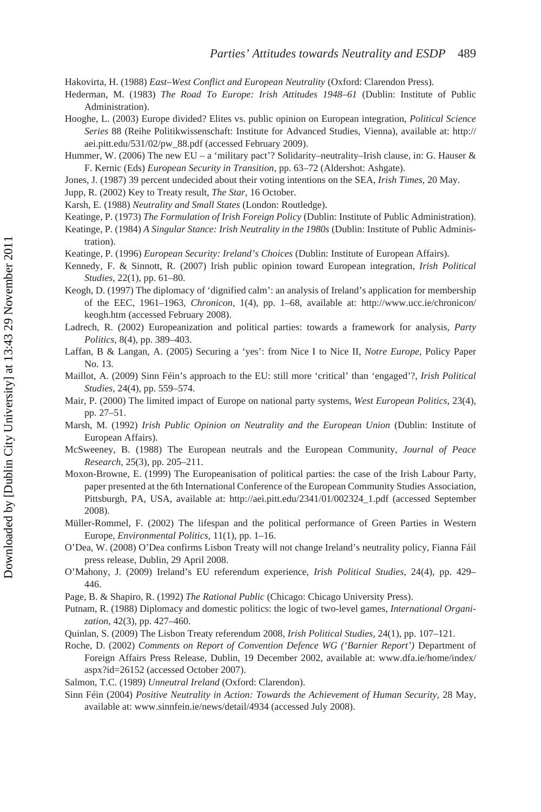Hakovirta, H. (1988) *East–West Conflict and European Neutrality* (Oxford: Clarendon Press).

Hederman, M. (1983) *The Road To Europe: Irish Attitudes 1948–61* (Dublin: Institute of Public Administration).

Hooghe, L. (2003) Europe divided? Elites vs. public opinion on European integration, *Political Science Series* 88 (Reihe Politikwissenschaft: Institute for Advanced Studies, Vienna), available at: http:// aei.pitt.edu/531/02/pw\_88.pdf (accessed February 2009).

Hummer, W. (2006) The new EU – a 'military pact'? Solidarity–neutrality–Irish clause, in: G. Hauser  $\&$ F. Kernic (Eds) *European Security in Transition,* pp. 63–72 (Aldershot: Ashgate).

Jones, J. (1987) 39 percent undecided about their voting intentions on the SEA, *Irish Times,* 20 May.

Jupp, R. (2002) Key to Treaty result, *The Star,* 16 October.

Karsh, E. (1988) *Neutrality and Small States* (London: Routledge).

Keatinge, P. (1973) *The Formulation of Irish Foreign Policy* (Dublin: Institute of Public Administration).

- Keatinge, P. (1984) *A Singular Stance: Irish Neutrality in the 1980s* (Dublin: Institute of Public Administration).
- Keatinge, P. (1996) *European Security: Ireland's Choices* (Dublin: Institute of European Affairs).
- Kennedy, F. & Sinnott, R. (2007) Irish public opinion toward European integration, *Irish Political Studies,* 22(1), pp. 61–80.
- Keogh, D. (1997) The diplomacy of 'dignified calm': an analysis of Ireland's application for membership of the EEC, 1961–1963, *Chronicon,* 1(4), pp. 1–68, available at: http://www.ucc.ie/chronicon/ keogh.htm (accessed February 2008).
- Ladrech, R. (2002) Europeanization and political parties: towards a framework for analysis, *Party Politics,* 8(4), pp. 389–403.
- Laffan, B & Langan, A. (2005) Securing a 'yes': from Nice I to Nice II, *Notre Europe,* Policy Paper No. 13.
- Maillot, A. (2009) Sinn Féin's approach to the EU: still more 'critical' than 'engaged'?, *Irish Political Studies,* 24(4), pp. 559–574.
- Mair, P. (2000) The limited impact of Europe on national party systems, *West European Politics,* 23(4), pp. 27–51.
- Marsh, M. (1992) *Irish Public Opinion on Neutrality and the European Union* (Dublin: Institute of European Affairs).
- McSweeney, B. (1988) The European neutrals and the European Community, *Journal of Peace Research,* 25(3), pp. 205–211.
- Moxon-Browne, E. (1999) The Europeanisation of political parties: the case of the Irish Labour Party, paper presented at the 6th International Conference of the European Community Studies Association, Pittsburgh, PA, USA, available at: http://aei.pitt.edu/2341/01/002324\_1.pdf (accessed September 2008).
- Müller-Rommel, F. (2002) The lifespan and the political performance of Green Parties in Western Europe, *Environmental Politics,* 11(1), pp. 1–16.
- O'Dea, W. (2008) O'Dea confirms Lisbon Treaty will not change Ireland's neutrality policy, Fianna Fáil press release, Dublin, 29 April 2008.
- O'Mahony, J. (2009) Ireland's EU referendum experience, *Irish Political Studies,* 24(4), pp. 429– 446.
- Page, B. & Shapiro, R. (1992) *The Rational Public* (Chicago: Chicago University Press).
- Putnam, R. (1988) Diplomacy and domestic politics: the logic of two-level games, *International Organization,* 42(3), pp. 427–460.
- Quinlan, S. (2009) The Lisbon Treaty referendum 2008, *Irish Political Studies,* 24(1), pp. 107–121.
- Roche, D. (2002) *Comments on Report of Convention Defence WG ('Barnier Report')* Department of Foreign Affairs Press Release, Dublin, 19 December 2002, available at: www.dfa.ie/home/index/ aspx?id=26152 (accessed October 2007).
- Salmon, T.C. (1989) *Unneutral Ireland* (Oxford: Clarendon).
- Sinn Féin (2004) *Positive Neutrality in Action: Towards the Achievement of Human Security,* 28 May, available at: www.sinnfein.ie/news/detail/4934 (accessed July 2008).